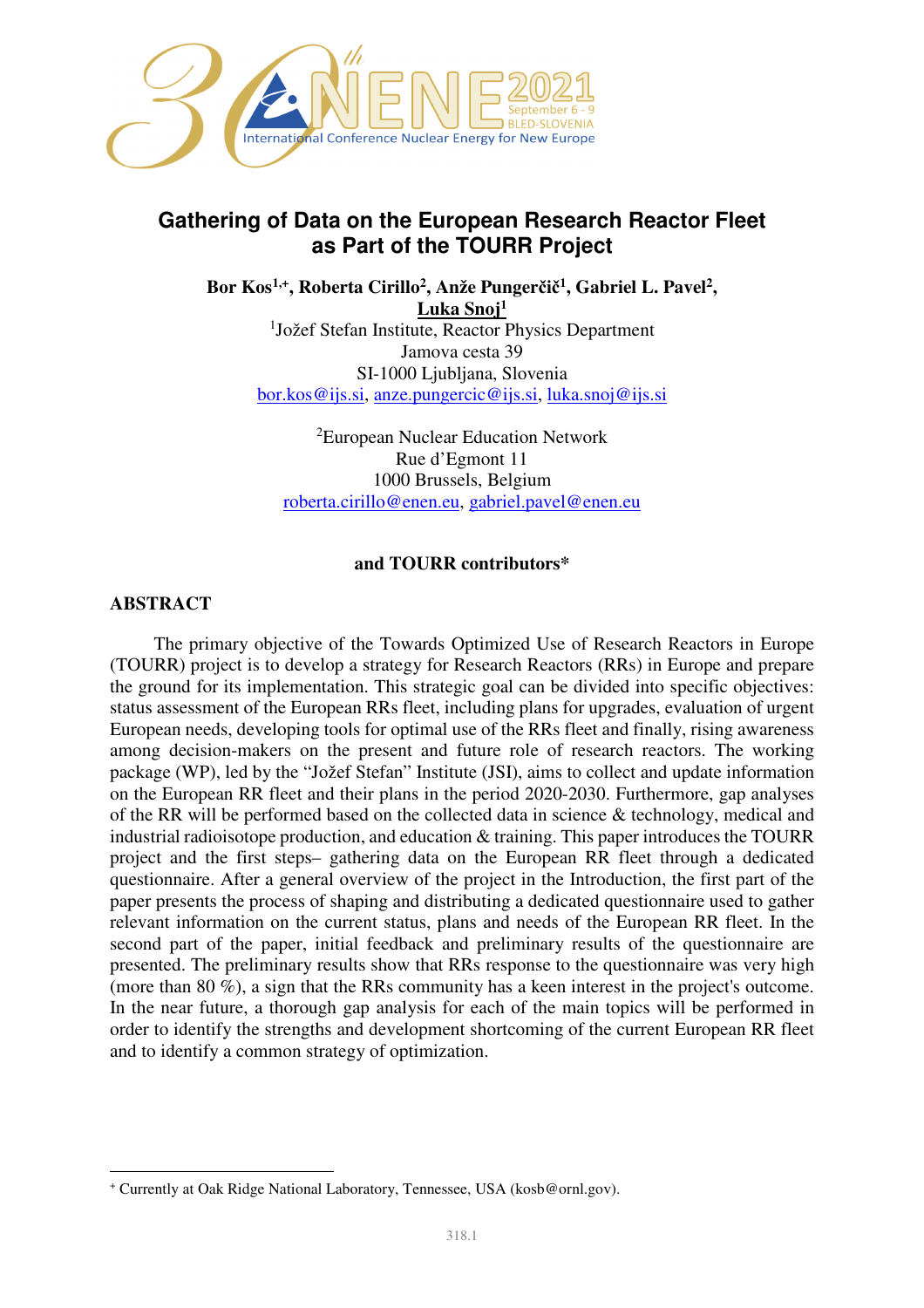

# **Gathering of Data on the European Research Reactor Fleet as Part of the TOURR Project**

**Bor Kos1,+, Roberta Cirillo<sup>2</sup> , Anže Pungerčič 1 , Gabriel L. Pavel<sup>2</sup> , Luka Snoj<sup>1</sup>** <sup>1</sup>Jožef Stefan Institute, Reactor Physics Department Jamova cesta 39 SI-1000 Ljubljana, Slovenia bor.kos@ijs.si, anze.pungercic@ijs.si, luka.snoj@ijs.si

> <sup>2</sup>European Nuclear Education Network Rue d'Egmont 11 1000 Brussels, Belgium roberta.cirillo@enen.eu, gabriel.pavel@enen.eu

### **and TOURR contributors\***

# **ABSTRACT**

l

The primary objective of the Towards Optimized Use of Research Reactors in Europe (TOURR) project is to develop a strategy for Research Reactors (RRs) in Europe and prepare the ground for its implementation. This strategic goal can be divided into specific objectives: status assessment of the European RRs fleet, including plans for upgrades, evaluation of urgent European needs, developing tools for optimal use of the RRs fleet and finally, rising awareness among decision-makers on the present and future role of research reactors. The working package (WP), led by the "Jožef Stefan" Institute (JSI), aims to collect and update information on the European RR fleet and their plans in the period 2020-2030. Furthermore, gap analyses of the RR will be performed based on the collected data in science & technology, medical and industrial radioisotope production, and education & training. This paper introduces the TOURR project and the first steps– gathering data on the European RR fleet through a dedicated questionnaire. After a general overview of the project in the Introduction, the first part of the paper presents the process of shaping and distributing a dedicated questionnaire used to gather relevant information on the current status, plans and needs of the European RR fleet. In the second part of the paper, initial feedback and preliminary results of the questionnaire are presented. The preliminary results show that RRs response to the questionnaire was very high (more than 80 %), a sign that the RRs community has a keen interest in the project's outcome. In the near future, a thorough gap analysis for each of the main topics will be performed in order to identify the strengths and development shortcoming of the current European RR fleet and to identify a common strategy of optimization.

<sup>+</sup> Currently at Oak Ridge National Laboratory, Tennessee, USA (kosb@ornl.gov).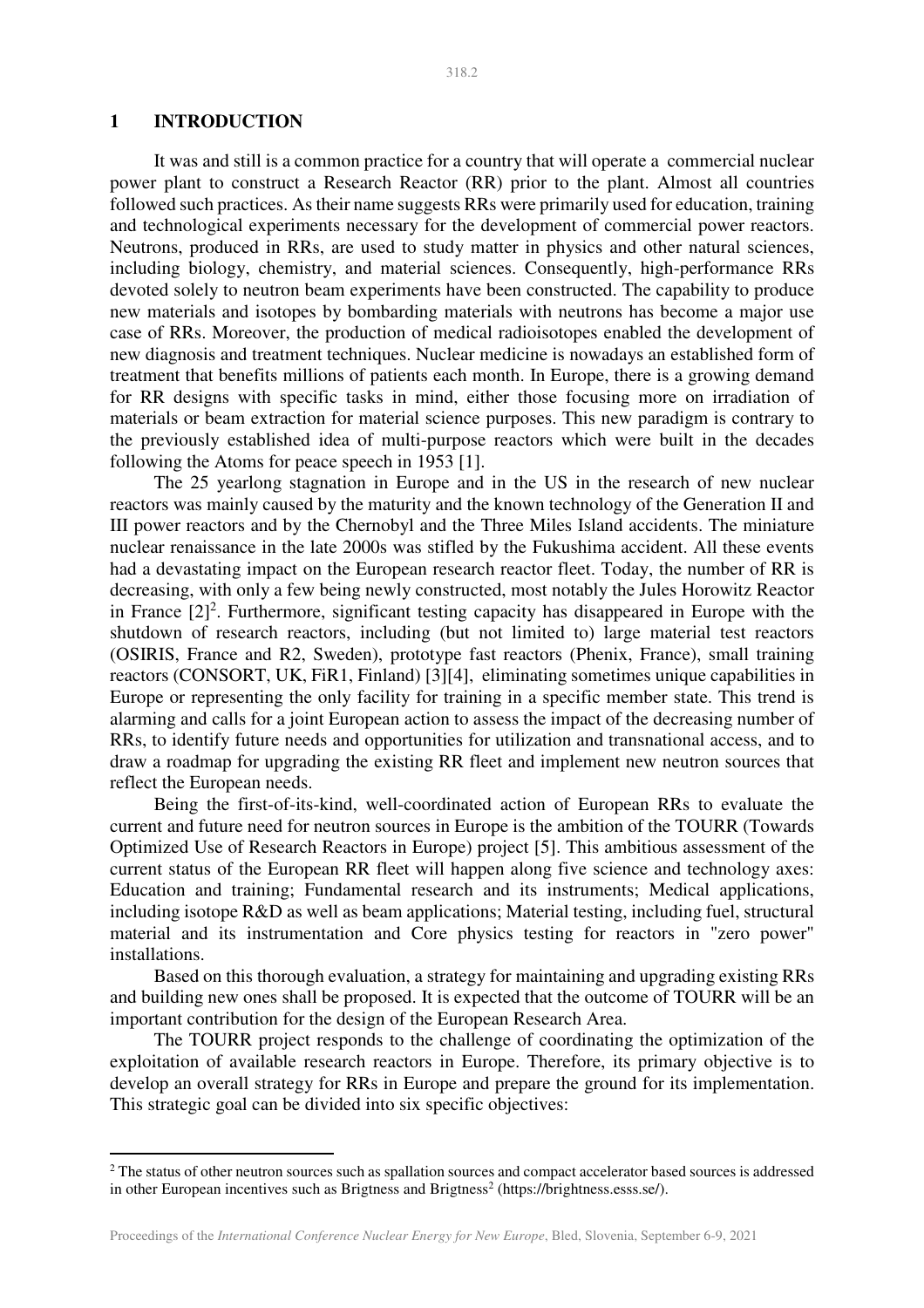# **1 INTRODUCTION**

 $\overline{a}$ 

It was and still is a common practice for a country that will operate a commercial nuclear power plant to construct a Research Reactor (RR) prior to the plant. Almost all countries followed such practices. As their name suggests RRs were primarily used for education, training and technological experiments necessary for the development of commercial power reactors. Neutrons, produced in RRs, are used to study matter in physics and other natural sciences, including biology, chemistry, and material sciences. Consequently, high-performance RRs devoted solely to neutron beam experiments have been constructed. The capability to produce new materials and isotopes by bombarding materials with neutrons has become a major use case of RRs. Moreover, the production of medical radioisotopes enabled the development of new diagnosis and treatment techniques. Nuclear medicine is nowadays an established form of treatment that benefits millions of patients each month. In Europe, there is a growing demand for RR designs with specific tasks in mind, either those focusing more on irradiation of materials or beam extraction for material science purposes. This new paradigm is contrary to the previously established idea of multi-purpose reactors which were built in the decades following the Atoms for peace speech in 1953 [1].

The 25 yearlong stagnation in Europe and in the US in the research of new nuclear reactors was mainly caused by the maturity and the known technology of the Generation II and III power reactors and by the Chernobyl and the Three Miles Island accidents. The miniature nuclear renaissance in the late 2000s was stifled by the Fukushima accident. All these events had a devastating impact on the European research reactor fleet. Today, the number of RR is decreasing, with only a few being newly constructed, most notably the Jules Horowitz Reactor in France  $[2]^2$ . Furthermore, significant testing capacity has disappeared in Europe with the shutdown of research reactors, including (but not limited to) large material test reactors (OSIRIS, France and R2, Sweden), prototype fast reactors (Phenix, France), small training reactors (CONSORT, UK, FiR1, Finland) [3][4], eliminating sometimes unique capabilities in Europe or representing the only facility for training in a specific member state. This trend is alarming and calls for a joint European action to assess the impact of the decreasing number of RRs, to identify future needs and opportunities for utilization and transnational access, and to draw a roadmap for upgrading the existing RR fleet and implement new neutron sources that reflect the European needs.

Being the first-of-its-kind, well-coordinated action of European RRs to evaluate the current and future need for neutron sources in Europe is the ambition of the TOURR (Towards Optimized Use of Research Reactors in Europe) project [5]. This ambitious assessment of the current status of the European RR fleet will happen along five science and technology axes: Education and training; Fundamental research and its instruments; Medical applications, including isotope R&D as well as beam applications; Material testing, including fuel, structural material and its instrumentation and Core physics testing for reactors in "zero power" installations.

Based on this thorough evaluation, a strategy for maintaining and upgrading existing RRs and building new ones shall be proposed. It is expected that the outcome of TOURR will be an important contribution for the design of the European Research Area.

The TOURR project responds to the challenge of coordinating the optimization of the exploitation of available research reactors in Europe. Therefore, its primary objective is to develop an overall strategy for RRs in Europe and prepare the ground for its implementation. This strategic goal can be divided into six specific objectives:

<sup>&</sup>lt;sup>2</sup> The status of other neutron sources such as spallation sources and compact accelerator based sources is addressed in other European incentives such as Brigtness and Brigtness<sup>2</sup> (https://brightness.esss.se/).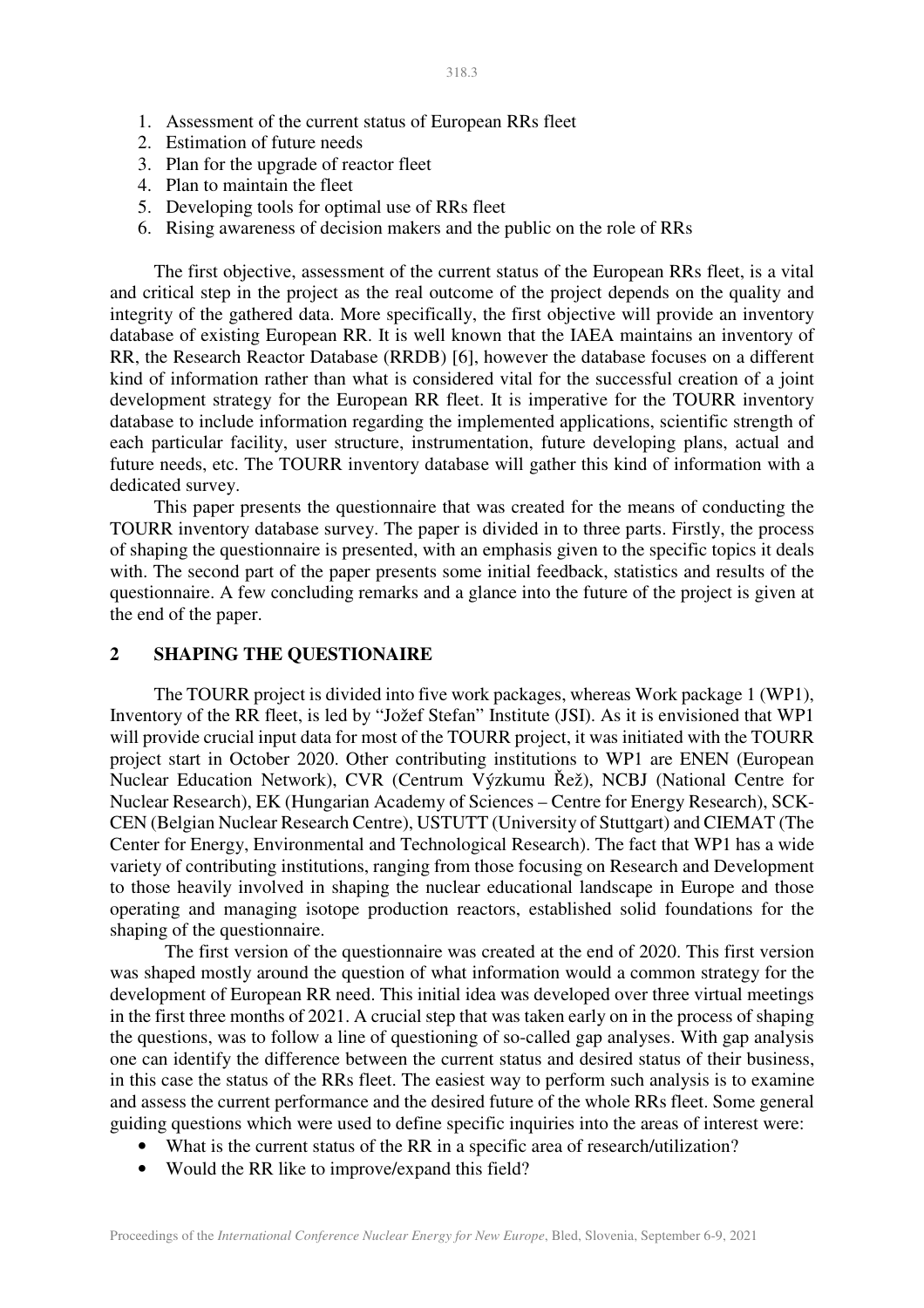- 1. Assessment of the current status of European RRs fleet
- 2. Estimation of future needs
- 3. Plan for the upgrade of reactor fleet
- 4. Plan to maintain the fleet
- 5. Developing tools for optimal use of RRs fleet
- 6. Rising awareness of decision makers and the public on the role of RRs

The first objective, assessment of the current status of the European RRs fleet, is a vital and critical step in the project as the real outcome of the project depends on the quality and integrity of the gathered data. More specifically, the first objective will provide an inventory database of existing European RR. It is well known that the IAEA maintains an inventory of RR, the Research Reactor Database (RRDB) [6], however the database focuses on a different kind of information rather than what is considered vital for the successful creation of a joint development strategy for the European RR fleet. It is imperative for the TOURR inventory database to include information regarding the implemented applications, scientific strength of each particular facility, user structure, instrumentation, future developing plans, actual and future needs, etc. The TOURR inventory database will gather this kind of information with a dedicated survey.

This paper presents the questionnaire that was created for the means of conducting the TOURR inventory database survey. The paper is divided in to three parts. Firstly, the process of shaping the questionnaire is presented, with an emphasis given to the specific topics it deals with. The second part of the paper presents some initial feedback, statistics and results of the questionnaire. A few concluding remarks and a glance into the future of the project is given at the end of the paper.

## **2 SHAPING THE QUESTIONAIRE**

The TOURR project is divided into five work packages, whereas Work package 1 (WP1), Inventory of the RR fleet, is led by "Jožef Stefan" Institute (JSI). As it is envisioned that WP1 will provide crucial input data for most of the TOURR project, it was initiated with the TOURR project start in October 2020. Other contributing institutions to WP1 are ENEN (European Nuclear Education Network), CVR (Centrum Výzkumu Řež), NCBJ (National Centre for Nuclear Research), EK (Hungarian Academy of Sciences – Centre for Energy Research), SCK-CEN (Belgian Nuclear Research Centre), USTUTT (University of Stuttgart) and CIEMAT (The Center for Energy, Environmental and Technological Research). The fact that WP1 has a wide variety of contributing institutions, ranging from those focusing on Research and Development to those heavily involved in shaping the nuclear educational landscape in Europe and those operating and managing isotope production reactors, established solid foundations for the shaping of the questionnaire.

 The first version of the questionnaire was created at the end of 2020. This first version was shaped mostly around the question of what information would a common strategy for the development of European RR need. This initial idea was developed over three virtual meetings in the first three months of 2021. A crucial step that was taken early on in the process of shaping the questions, was to follow a line of questioning of so-called gap analyses. With gap analysis one can identify the difference between the current status and desired status of their business, in this case the status of the RRs fleet. The easiest way to perform such analysis is to examine and assess the current performance and the desired future of the whole RRs fleet. Some general guiding questions which were used to define specific inquiries into the areas of interest were:

- What is the current status of the RR in a specific area of research/utilization?
- Would the RR like to improve/expand this field?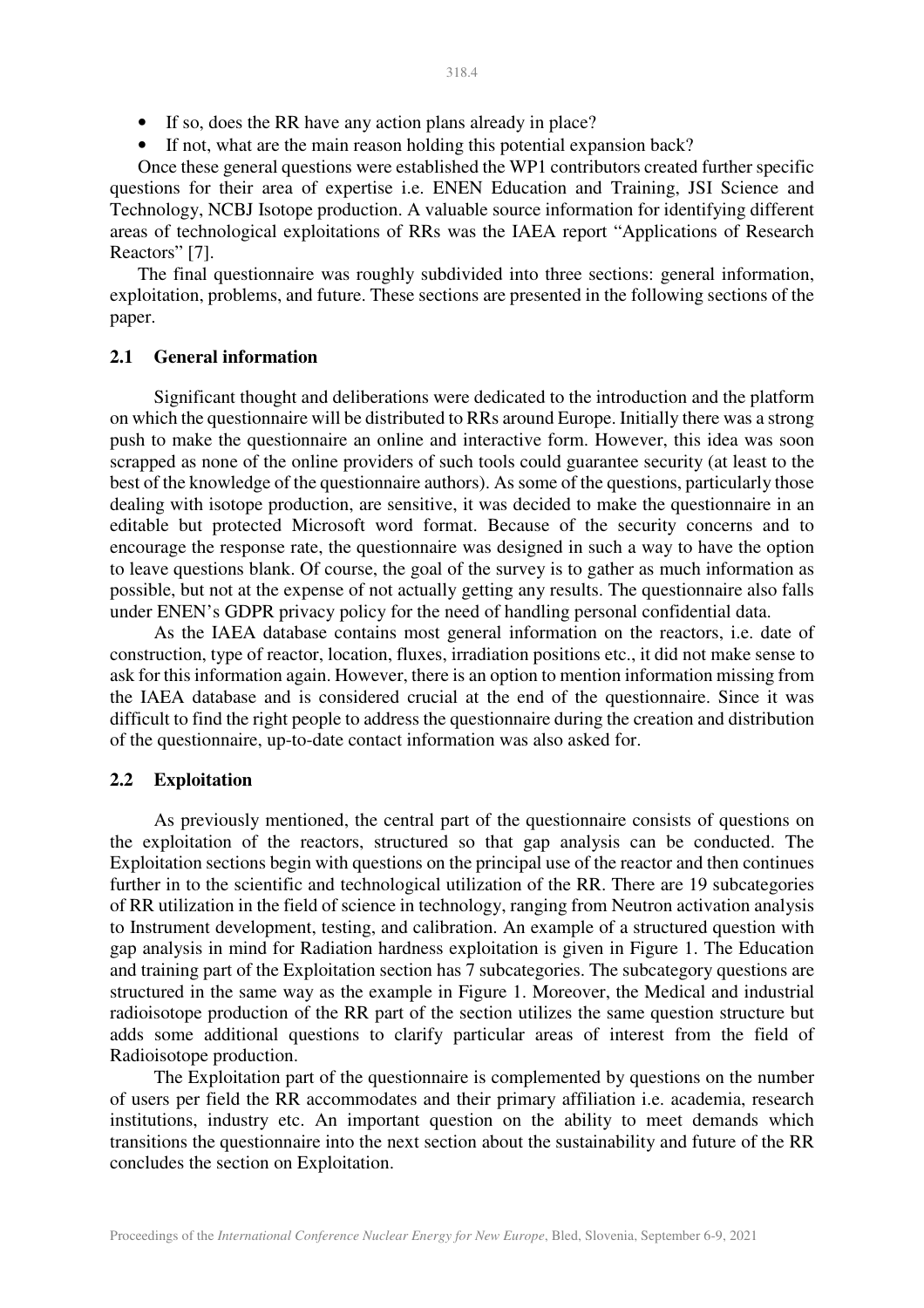- If so, does the RR have any action plans already in place?
- If not, what are the main reason holding this potential expansion back?

Once these general questions were established the WP1 contributors created further specific questions for their area of expertise i.e. ENEN Education and Training, JSI Science and Technology, NCBJ Isotope production. A valuable source information for identifying different areas of technological exploitations of RRs was the IAEA report "Applications of Research Reactors" [7].

The final questionnaire was roughly subdivided into three sections: general information, exploitation, problems, and future. These sections are presented in the following sections of the paper.

#### **2.1 General information**

Significant thought and deliberations were dedicated to the introduction and the platform on which the questionnaire will be distributed to RRs around Europe. Initially there was a strong push to make the questionnaire an online and interactive form. However, this idea was soon scrapped as none of the online providers of such tools could guarantee security (at least to the best of the knowledge of the questionnaire authors). As some of the questions, particularly those dealing with isotope production, are sensitive, it was decided to make the questionnaire in an editable but protected Microsoft word format. Because of the security concerns and to encourage the response rate, the questionnaire was designed in such a way to have the option to leave questions blank. Of course, the goal of the survey is to gather as much information as possible, but not at the expense of not actually getting any results. The questionnaire also falls under ENEN's GDPR privacy policy for the need of handling personal confidential data.

As the IAEA database contains most general information on the reactors, i.e. date of construction, type of reactor, location, fluxes, irradiation positions etc., it did not make sense to ask for this information again. However, there is an option to mention information missing from the IAEA database and is considered crucial at the end of the questionnaire. Since it was difficult to find the right people to address the questionnaire during the creation and distribution of the questionnaire, up-to-date contact information was also asked for.

#### **2.2 Exploitation**

As previously mentioned, the central part of the questionnaire consists of questions on the exploitation of the reactors, structured so that gap analysis can be conducted. The Exploitation sections begin with questions on the principal use of the reactor and then continues further in to the scientific and technological utilization of the RR. There are 19 subcategories of RR utilization in the field of science in technology, ranging from Neutron activation analysis to Instrument development, testing, and calibration. An example of a structured question with gap analysis in mind for Radiation hardness exploitation is given in Figure 1. The Education and training part of the Exploitation section has 7 subcategories. The subcategory questions are structured in the same way as the example in Figure 1. Moreover, the Medical and industrial radioisotope production of the RR part of the section utilizes the same question structure but adds some additional questions to clarify particular areas of interest from the field of Radioisotope production.

The Exploitation part of the questionnaire is complemented by questions on the number of users per field the RR accommodates and their primary affiliation i.e. academia, research institutions, industry etc. An important question on the ability to meet demands which transitions the questionnaire into the next section about the sustainability and future of the RR concludes the section on Exploitation.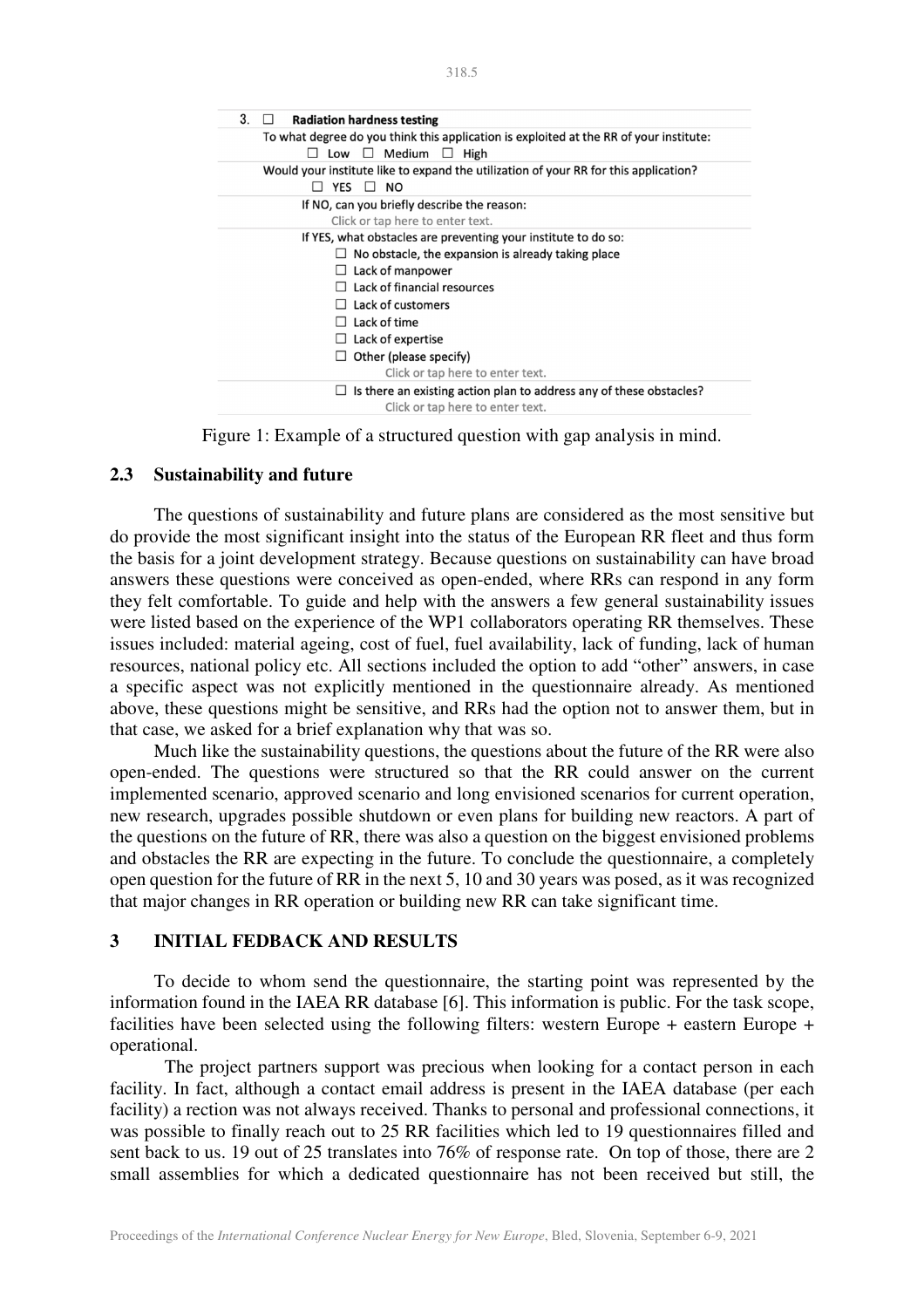| 3.<br><b>Radiation hardness testing</b>                                                                                          |
|----------------------------------------------------------------------------------------------------------------------------------|
| To what degree do you think this application is exploited at the RR of your institute:<br>$\Box$ Medium<br>Low<br>High<br>$\Box$ |
| Would your institute like to expand the utilization of your RR for this application?<br><b>YES</b><br>$\Box$ NO                  |
| If NO, can you briefly describe the reason:                                                                                      |
| Click or tap here to enter text.                                                                                                 |
| If YES, what obstacles are preventing your institute to do so:                                                                   |
| No obstacle, the expansion is already taking place                                                                               |
| Lack of manpower                                                                                                                 |
| Lack of financial resources                                                                                                      |
| Lack of customers                                                                                                                |
| Lack of time                                                                                                                     |
| Lack of expertise                                                                                                                |
| Other (please specify)                                                                                                           |
| Click or tap here to enter text.                                                                                                 |
| Is there an existing action plan to address any of these obstacles?<br>Click or tap here to enter text.                          |
|                                                                                                                                  |

Figure 1: Example of a structured question with gap analysis in mind.

#### **2.3 Sustainability and future**

The questions of sustainability and future plans are considered as the most sensitive but do provide the most significant insight into the status of the European RR fleet and thus form the basis for a joint development strategy. Because questions on sustainability can have broad answers these questions were conceived as open-ended, where RRs can respond in any form they felt comfortable. To guide and help with the answers a few general sustainability issues were listed based on the experience of the WP1 collaborators operating RR themselves. These issues included: material ageing, cost of fuel, fuel availability, lack of funding, lack of human resources, national policy etc. All sections included the option to add "other" answers, in case a specific aspect was not explicitly mentioned in the questionnaire already. As mentioned above, these questions might be sensitive, and RRs had the option not to answer them, but in that case, we asked for a brief explanation why that was so.

Much like the sustainability questions, the questions about the future of the RR were also open-ended. The questions were structured so that the RR could answer on the current implemented scenario, approved scenario and long envisioned scenarios for current operation, new research, upgrades possible shutdown or even plans for building new reactors. A part of the questions on the future of RR, there was also a question on the biggest envisioned problems and obstacles the RR are expecting in the future. To conclude the questionnaire, a completely open question for the future of RR in the next 5, 10 and 30 years was posed, as it was recognized that major changes in RR operation or building new RR can take significant time.

# **3 INITIAL FEDBACK AND RESULTS**

To decide to whom send the questionnaire, the starting point was represented by the information found in the IAEA RR database [6]. This information is public. For the task scope, facilities have been selected using the following filters: western Europe + eastern Europe + operational.

The project partners support was precious when looking for a contact person in each facility. In fact, although a contact email address is present in the IAEA database (per each facility) a rection was not always received. Thanks to personal and professional connections, it was possible to finally reach out to 25 RR facilities which led to 19 questionnaires filled and sent back to us. 19 out of 25 translates into 76% of response rate. On top of those, there are 2 small assemblies for which a dedicated questionnaire has not been received but still, the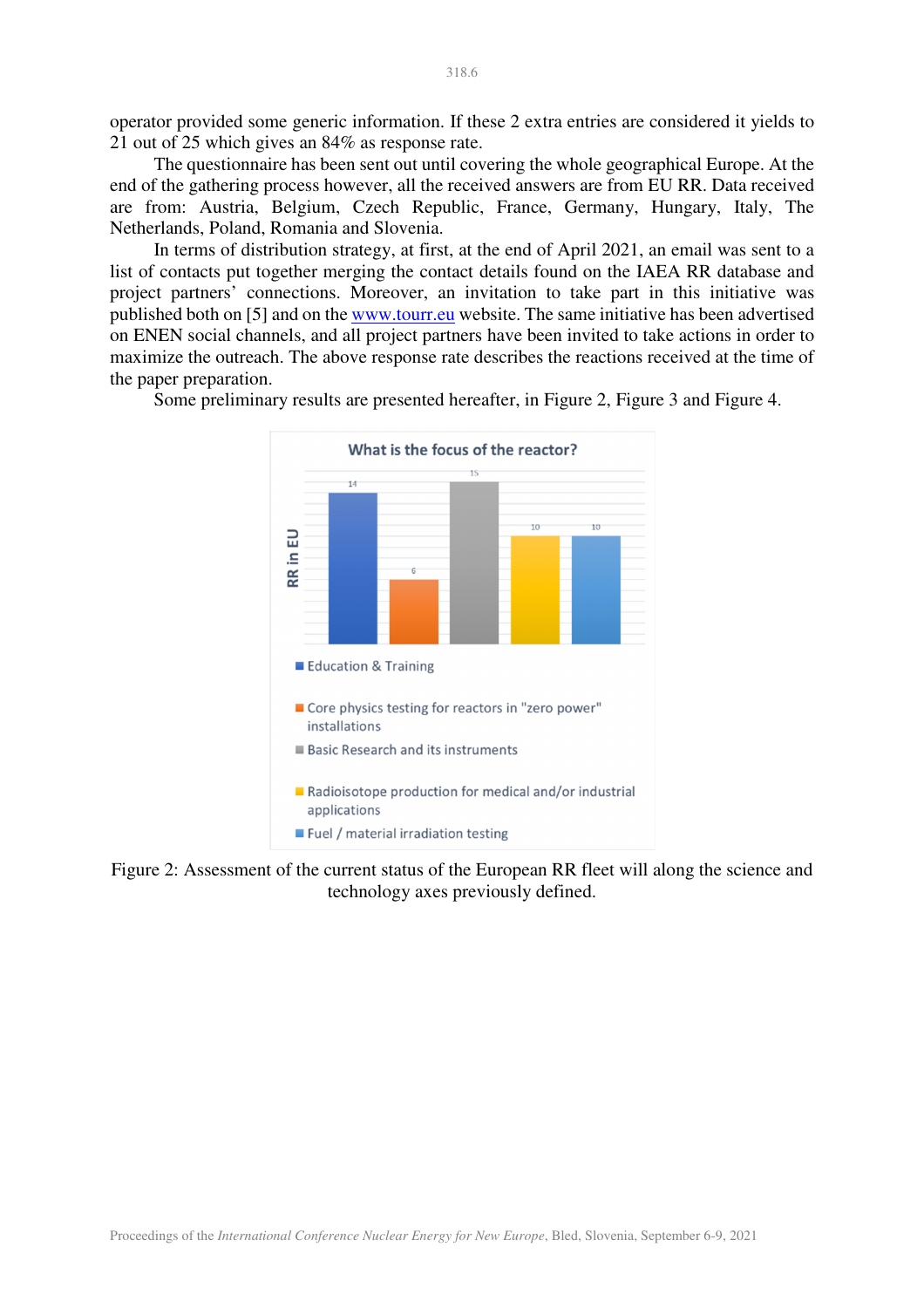operator provided some generic information. If these 2 extra entries are considered it yields to 21 out of 25 which gives an 84% as response rate.

The questionnaire has been sent out until covering the whole geographical Europe. At the end of the gathering process however, all the received answers are from EU RR. Data received are from: Austria, Belgium, Czech Republic, France, Germany, Hungary, Italy, The Netherlands, Poland, Romania and Slovenia.

In terms of distribution strategy, at first, at the end of April 2021, an email was sent to a list of contacts put together merging the contact details found on the IAEA RR database and project partners' connections. Moreover, an invitation to take part in this initiative was published both on [5] and on the www.tourr.eu website. The same initiative has been advertised on ENEN social channels, and all project partners have been invited to take actions in order to maximize the outreach. The above response rate describes the reactions received at the time of the paper preparation.



Some preliminary results are presented hereafter, in Figure 2, Figure 3 and Figure 4.

Figure 2: Assessment of the current status of the European RR fleet will along the science and technology axes previously defined.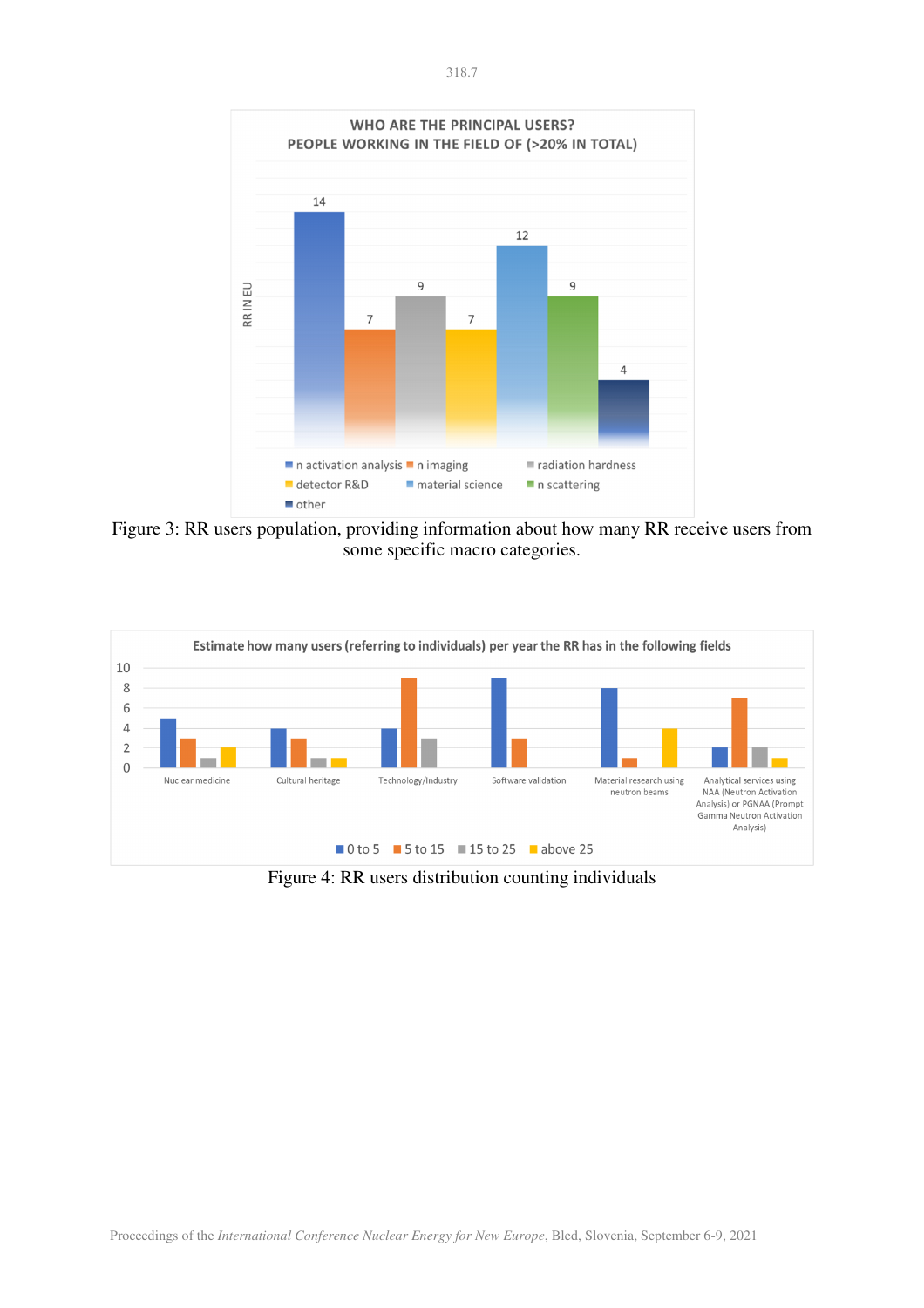

Figure 3: RR users population, providing information about how many RR receive users from some specific macro categories.



Figure 4: RR users distribution counting individuals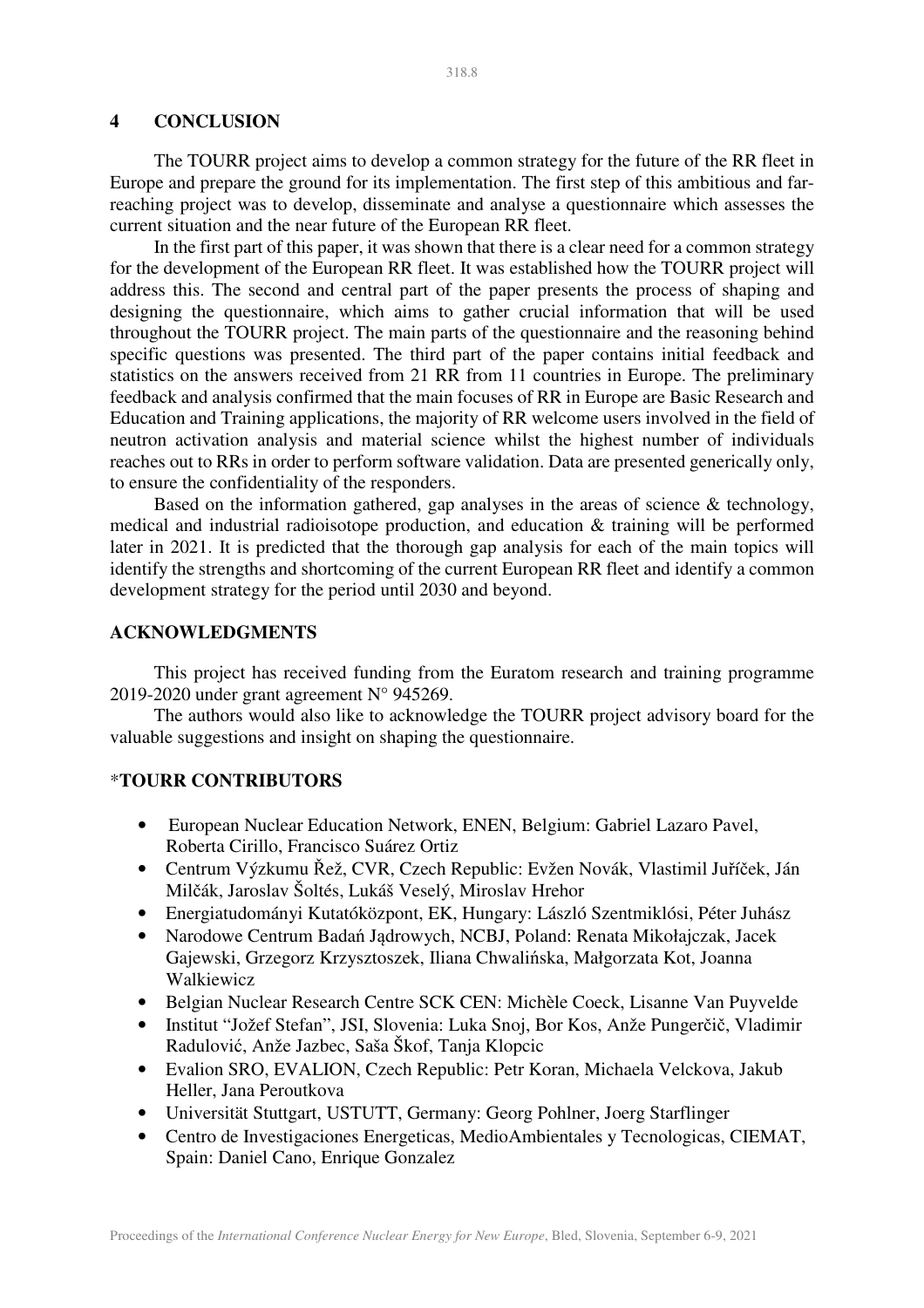## **4 CONCLUSION**

The TOURR project aims to develop a common strategy for the future of the RR fleet in Europe and prepare the ground for its implementation. The first step of this ambitious and farreaching project was to develop, disseminate and analyse a questionnaire which assesses the current situation and the near future of the European RR fleet.

In the first part of this paper, it was shown that there is a clear need for a common strategy for the development of the European RR fleet. It was established how the TOURR project will address this. The second and central part of the paper presents the process of shaping and designing the questionnaire, which aims to gather crucial information that will be used throughout the TOURR project. The main parts of the questionnaire and the reasoning behind specific questions was presented. The third part of the paper contains initial feedback and statistics on the answers received from 21 RR from 11 countries in Europe. The preliminary feedback and analysis confirmed that the main focuses of RR in Europe are Basic Research and Education and Training applications, the majority of RR welcome users involved in the field of neutron activation analysis and material science whilst the highest number of individuals reaches out to RRs in order to perform software validation. Data are presented generically only, to ensure the confidentiality of the responders.

Based on the information gathered, gap analyses in the areas of science & technology, medical and industrial radioisotope production, and education & training will be performed later in 2021. It is predicted that the thorough gap analysis for each of the main topics will identify the strengths and shortcoming of the current European RR fleet and identify a common development strategy for the period until 2030 and beyond.

#### **ACKNOWLEDGMENTS**

This project has received funding from the Euratom research and training programme 2019-2020 under grant agreement N° 945269.

The authors would also like to acknowledge the TOURR project advisory board for the valuable suggestions and insight on shaping the questionnaire.

#### \***TOURR CONTRIBUTORS**

- European Nuclear Education Network, ENEN, Belgium: Gabriel Lazaro Pavel, Roberta Cirillo, Francisco Suárez Ortiz
- Centrum Výzkumu Řež, CVR, Czech Republic: Evžen Novák, Vlastimil Juříček, Ján Milčák, Jaroslav Šoltés, Lukáš Veselý, Miroslav Hrehor
- Energiatudományi Kutatóközpont, EK, Hungary: László Szentmiklósi, Péter Juhász
- Narodowe Centrum Badań Jądrowych, NCBJ, Poland: Renata Mikołajczak, Jacek Gajewski, Grzegorz Krzysztoszek, Iliana Chwalińska, Małgorzata Kot, Joanna Walkiewicz
- Belgian Nuclear Research Centre SCK CEN: Michèle Coeck, Lisanne Van Puyvelde
- Institut "Jožef Stefan", JSI, Slovenia: Luka Snoj, Bor Kos, Anže Pungerčič, Vladimir Radulović, Anže Jazbec, Saša Škof, Tanja Klopcic
- Evalion SRO, EVALION, Czech Republic: Petr Koran, Michaela Velckova, Jakub Heller, Jana Peroutkova
- Universität Stuttgart, USTUTT, Germany: Georg Pohlner, Joerg Starflinger
- Centro de Investigaciones Energeticas, MedioAmbientales y Tecnologicas, CIEMAT, Spain: Daniel Cano, Enrique Gonzalez